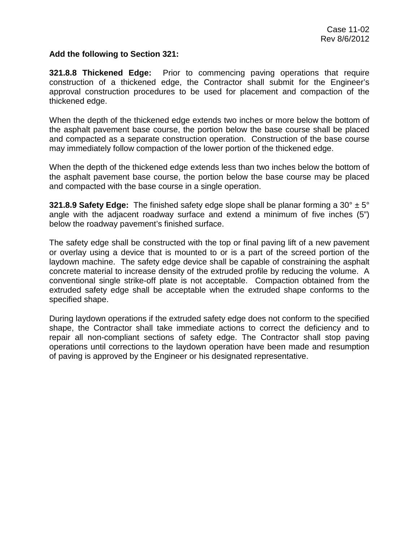## **Add the following to Section 321:**

**321.8.8 Thickened Edge:** Prior to commencing paving operations that require construction of a thickened edge, the Contractor shall submit for the Engineer's approval construction procedures to be used for placement and compaction of the thickened edge.

When the depth of the thickened edge extends two inches or more below the bottom of the asphalt pavement base course, the portion below the base course shall be placed and compacted as a separate construction operation. Construction of the base course may immediately follow compaction of the lower portion of the thickened edge.

When the depth of the thickened edge extends less than two inches below the bottom of the asphalt pavement base course, the portion below the base course may be placed and compacted with the base course in a single operation.

**321.8.9 Safety Edge:** The finished safety edge slope shall be planar forming a 30° ± 5° angle with the adjacent roadway surface and extend a minimum of five inches (5") below the roadway pavement's finished surface.

The safety edge shall be constructed with the top or final paving lift of a new pavement or overlay using a device that is mounted to or is a part of the screed portion of the laydown machine. The safety edge device shall be capable of constraining the asphalt concrete material to increase density of the extruded profile by reducing the volume. A conventional single strike-off plate is not acceptable. Compaction obtained from the extruded safety edge shall be acceptable when the extruded shape conforms to the specified shape.

During laydown operations if the extruded safety edge does not conform to the specified shape, the Contractor shall take immediate actions to correct the deficiency and to repair all non-compliant sections of safety edge. The Contractor shall stop paving operations until corrections to the laydown operation have been made and resumption of paving is approved by the Engineer or his designated representative.